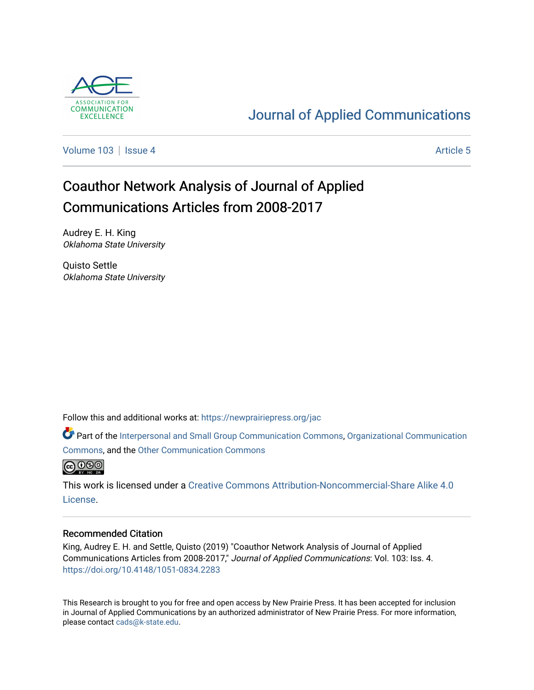

# [Journal of Applied Communications](https://newprairiepress.org/jac)

[Volume 103](https://newprairiepress.org/jac/vol103) | [Issue 4](https://newprairiepress.org/jac/vol103/iss4) Article 5

# Coauthor Network Analysis of Journal of Applied Communications Articles from 2008-2017

Audrey E. H. King Oklahoma State University

Quisto Settle Oklahoma State University

Follow this and additional works at: [https://newprairiepress.org/jac](https://newprairiepress.org/jac?utm_source=newprairiepress.org%2Fjac%2Fvol103%2Fiss4%2F5&utm_medium=PDF&utm_campaign=PDFCoverPages)

Part of the [Interpersonal and Small Group Communication Commons,](http://network.bepress.com/hgg/discipline/332?utm_source=newprairiepress.org%2Fjac%2Fvol103%2Fiss4%2F5&utm_medium=PDF&utm_campaign=PDFCoverPages) [Organizational Communication](http://network.bepress.com/hgg/discipline/335?utm_source=newprairiepress.org%2Fjac%2Fvol103%2Fiss4%2F5&utm_medium=PDF&utm_campaign=PDFCoverPages)  [Commons](http://network.bepress.com/hgg/discipline/335?utm_source=newprairiepress.org%2Fjac%2Fvol103%2Fiss4%2F5&utm_medium=PDF&utm_campaign=PDFCoverPages), and the [Other Communication Commons](http://network.bepress.com/hgg/discipline/339?utm_source=newprairiepress.org%2Fjac%2Fvol103%2Fiss4%2F5&utm_medium=PDF&utm_campaign=PDFCoverPages)



This work is licensed under a [Creative Commons Attribution-Noncommercial-Share Alike 4.0](https://creativecommons.org/licenses/by-nc-sa/4.0/) [License.](https://creativecommons.org/licenses/by-nc-sa/4.0/)

#### Recommended Citation

King, Audrey E. H. and Settle, Quisto (2019) "Coauthor Network Analysis of Journal of Applied Communications Articles from 2008-2017," Journal of Applied Communications: Vol. 103: Iss. 4. <https://doi.org/10.4148/1051-0834.2283>

This Research is brought to you for free and open access by New Prairie Press. It has been accepted for inclusion in Journal of Applied Communications by an authorized administrator of New Prairie Press. For more information, please contact [cads@k-state.edu.](mailto:cads@k-state.edu)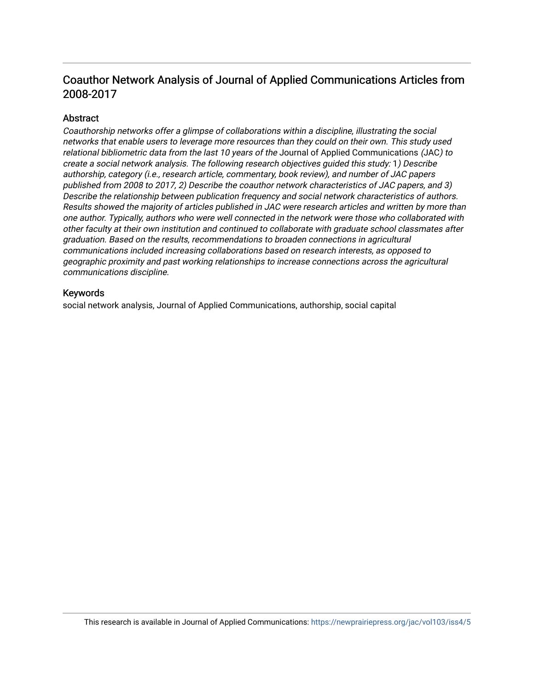# Coauthor Network Analysis of Journal of Applied Communications Articles from 2008-2017

# Abstract

Coauthorship networks offer a glimpse of collaborations within a discipline, illustrating the social networks that enable users to leverage more resources than they could on their own. This study used relational bibliometric data from the last 10 years of the Journal of Applied Communications (JAC) to create a social network analysis. The following research objectives guided this study: 1) Describe authorship, category (i.e., research article, commentary, book review), and number of JAC papers published from 2008 to 2017, 2) Describe the coauthor network characteristics of JAC papers, and 3) Describe the relationship between publication frequency and social network characteristics of authors. Results showed the majority of articles published in JAC were research articles and written by more than one author. Typically, authors who were well connected in the network were those who collaborated with other faculty at their own institution and continued to collaborate with graduate school classmates after graduation. Based on the results, recommendations to broaden connections in agricultural communications included increasing collaborations based on research interests, as opposed to geographic proximity and past working relationships to increase connections across the agricultural communications discipline.

## Keywords

social network analysis, Journal of Applied Communications, authorship, social capital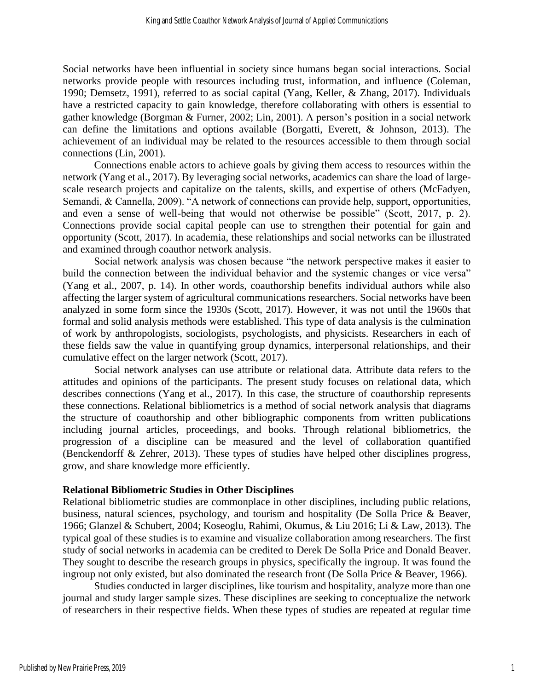Social networks have been influential in society since humans began social interactions. Social networks provide people with resources including trust, information, and influence (Coleman, 1990; Demsetz, 1991), referred to as social capital (Yang, Keller, & Zhang, 2017). Individuals have a restricted capacity to gain knowledge, therefore collaborating with others is essential to gather knowledge (Borgman & Furner, 2002; Lin, 2001). A person's position in a social network can define the limitations and options available (Borgatti, Everett, & Johnson, 2013). The achievement of an individual may be related to the resources accessible to them through social connections (Lin, 2001).

Connections enable actors to achieve goals by giving them access to resources within the network (Yang et al., 2017). By leveraging social networks, academics can share the load of largescale research projects and capitalize on the talents, skills, and expertise of others (McFadyen, Semandi, & Cannella, 2009). "A network of connections can provide help, support, opportunities, and even a sense of well-being that would not otherwise be possible" (Scott, 2017, p. 2). Connections provide social capital people can use to strengthen their potential for gain and opportunity (Scott, 2017). In academia, these relationships and social networks can be illustrated and examined through coauthor network analysis.

Social network analysis was chosen because "the network perspective makes it easier to build the connection between the individual behavior and the systemic changes or vice versa" (Yang et al., 2007, p. 14). In other words, coauthorship benefits individual authors while also affecting the larger system of agricultural communications researchers. Social networks have been analyzed in some form since the 1930s (Scott, 2017). However, it was not until the 1960s that formal and solid analysis methods were established. This type of data analysis is the culmination of work by anthropologists, sociologists, psychologists, and physicists. Researchers in each of these fields saw the value in quantifying group dynamics, interpersonal relationships, and their cumulative effect on the larger network (Scott, 2017).

Social network analyses can use attribute or relational data. Attribute data refers to the attitudes and opinions of the participants. The present study focuses on relational data, which describes connections (Yang et al., 2017). In this case, the structure of coauthorship represents these connections. Relational bibliometrics is a method of social network analysis that diagrams the structure of coauthorship and other bibliographic components from written publications including journal articles, proceedings, and books. Through relational bibliometrics, the progression of a discipline can be measured and the level of collaboration quantified (Benckendorff & Zehrer, 2013). These types of studies have helped other disciplines progress, grow, and share knowledge more efficiently.

#### **Relational Bibliometric Studies in Other Disciplines**

Relational bibliometric studies are commonplace in other disciplines, including public relations, business, natural sciences, psychology, and tourism and hospitality (De Solla Price & Beaver, 1966; Glanzel & Schubert, 2004; Koseoglu, Rahimi, Okumus, & Liu 2016; Li & Law, 2013). The typical goal of these studies is to examine and visualize collaboration among researchers. The first study of social networks in academia can be credited to Derek De Solla Price and Donald Beaver. They sought to describe the research groups in physics, specifically the ingroup. It was found the ingroup not only existed, but also dominated the research front (De Solla Price & Beaver, 1966).

Studies conducted in larger disciplines, like tourism and hospitality, analyze more than one journal and study larger sample sizes. These disciplines are seeking to conceptualize the network of researchers in their respective fields. When these types of studies are repeated at regular time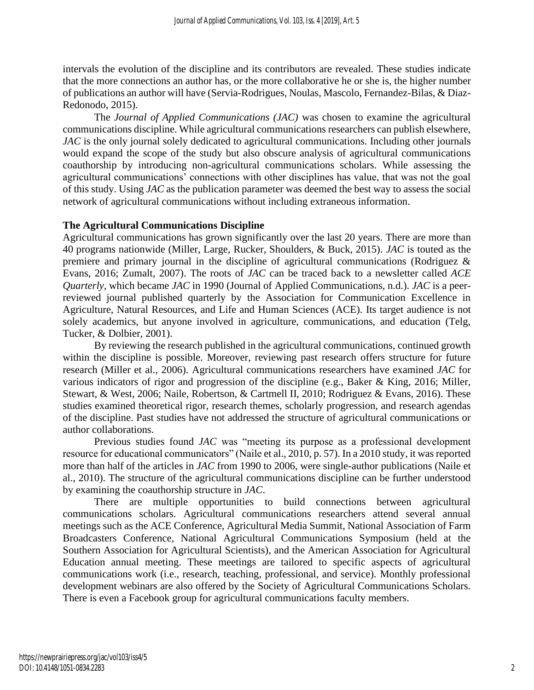intervals the evolution of the discipline and its contributors are revealed. These studies indicate that the more connections an author has, or the more collaborative he or she is, the higher number of publications an author will have (Servia-Rodrigues, Noulas, Mascolo, Fernandez-Bilas, & Diaz-Redonodo, 2015).

The *Journal of Applied Communications (JAC)* was chosen to examine the agricultural communications discipline. While agricultural communications researchers can publish elsewhere, *JAC* is the only journal solely dedicated to agricultural communications. Including other journals would expand the scope of the study but also obscure analysis of agricultural communications coauthorship by introducing non-agricultural communications scholars. While assessing the agricultural communications' connections with other disciplines has value, that was not the goal of this study. Using *JAC* as the publication parameter was deemed the best way to assess the social network of agricultural communications without including extraneous information.

# **The Agricultural Communications Discipline**

Agricultural communications has grown significantly over the last 20 years. There are more than 40 programs nationwide (Miller, Large, Rucker, Shoulders, & Buck, 2015). *JAC* is touted as the premiere and primary journal in the discipline of agricultural communications (Rodriguez & Evans, 2016; Zumalt, 2007). The roots of *JAC* can be traced back to a newsletter called *ACE Quarterly,* which became *JAC* in 1990 (Journal of Applied Communications, n.d.). *JAC* is a peerreviewed journal published quarterly by the Association for Communication Excellence in Agriculture, Natural Resources, and Life and Human Sciences (ACE). Its target audience is not solely academics, but anyone involved in agriculture, communications, and education (Telg, Tucker, & Dolbier, 2001).

By reviewing the research published in the agricultural communications, continued growth within the discipline is possible. Moreover, reviewing past research offers structure for future research (Miller et al., 2006). Agricultural communications researchers have examined *JAC* for various indicators of rigor and progression of the discipline (e.g., Baker & King, 2016; Miller, Stewart, & West, 2006; Naile, Robertson, & Cartmell II, 2010; Rodriguez & Evans, 2016). These studies examined theoretical rigor, research themes, scholarly progression, and research agendas of the discipline. Past studies have not addressed the structure of agricultural communications or author collaborations.

Previous studies found *JAC* was "meeting its purpose as a professional development resource for educational communicators" (Naile et al., 2010, p. 57). In a 2010 study, it was reported more than half of the articles in *JAC* from 1990 to 2006, were single-author publications (Naile et al., 2010). The structure of the agricultural communications discipline can be further understood by examining the coauthorship structure in *JAC*.

There are multiple opportunities to build connections between agricultural communications scholars. Agricultural communications researchers attend several annual meetings such as the ACE Conference, Agricultural Media Summit, National Association of Farm Broadcasters Conference, National Agricultural Communications Symposium (held at the Southern Association for Agricultural Scientists), and the American Association for Agricultural Education annual meeting. These meetings are tailored to specific aspects of agricultural communications work (i.e., research, teaching, professional, and service). Monthly professional development webinars are also offered by the Society of Agricultural Communications Scholars. There is even a Facebook group for agricultural communications faculty members.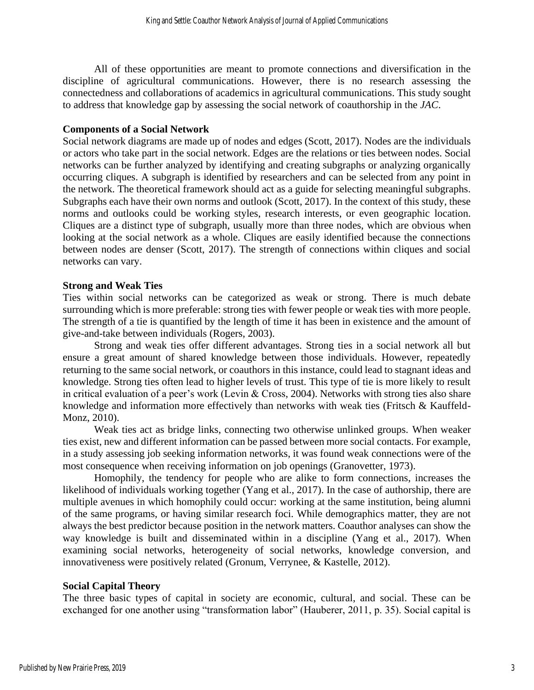All of these opportunities are meant to promote connections and diversification in the discipline of agricultural communications. However, there is no research assessing the connectedness and collaborations of academics in agricultural communications. This study sought to address that knowledge gap by assessing the social network of coauthorship in the *JAC*.

#### **Components of a Social Network**

Social network diagrams are made up of nodes and edges (Scott, 2017). Nodes are the individuals or actors who take part in the social network. Edges are the relations or ties between nodes. Social networks can be further analyzed by identifying and creating subgraphs or analyzing organically occurring cliques. A subgraph is identified by researchers and can be selected from any point in the network. The theoretical framework should act as a guide for selecting meaningful subgraphs. Subgraphs each have their own norms and outlook (Scott, 2017). In the context of this study, these norms and outlooks could be working styles, research interests, or even geographic location. Cliques are a distinct type of subgraph, usually more than three nodes, which are obvious when looking at the social network as a whole. Cliques are easily identified because the connections between nodes are denser (Scott, 2017). The strength of connections within cliques and social networks can vary.

#### **Strong and Weak Ties**

Ties within social networks can be categorized as weak or strong. There is much debate surrounding which is more preferable: strong ties with fewer people or weak ties with more people. The strength of a tie is quantified by the length of time it has been in existence and the amount of give-and-take between individuals (Rogers, 2003).

Strong and weak ties offer different advantages. Strong ties in a social network all but ensure a great amount of shared knowledge between those individuals. However, repeatedly returning to the same social network, or coauthors in this instance, could lead to stagnant ideas and knowledge. Strong ties often lead to higher levels of trust. This type of tie is more likely to result in critical evaluation of a peer's work (Levin & Cross, 2004). Networks with strong ties also share knowledge and information more effectively than networks with weak ties (Fritsch & Kauffeld-Monz, 2010).

Weak ties act as bridge links, connecting two otherwise unlinked groups. When weaker ties exist, new and different information can be passed between more social contacts. For example, in a study assessing job seeking information networks, it was found weak connections were of the most consequence when receiving information on job openings (Granovetter, 1973).

Homophily, the tendency for people who are alike to form connections, increases the likelihood of individuals working together (Yang et al., 2017). In the case of authorship, there are multiple avenues in which homophily could occur: working at the same institution, being alumni of the same programs, or having similar research foci. While demographics matter, they are not always the best predictor because position in the network matters. Coauthor analyses can show the way knowledge is built and disseminated within in a discipline (Yang et al., 2017). When examining social networks, heterogeneity of social networks, knowledge conversion, and innovativeness were positively related (Gronum, Verrynee, & Kastelle, 2012).

## **Social Capital Theory**

The three basic types of capital in society are economic, cultural, and social. These can be exchanged for one another using "transformation labor" (Hauberer, 2011, p. 35). Social capital is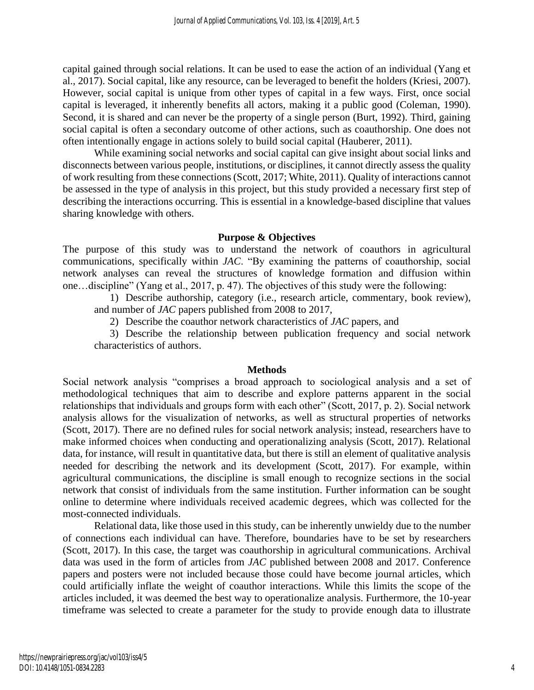capital gained through social relations. It can be used to ease the action of an individual (Yang et al., 2017). Social capital, like any resource, can be leveraged to benefit the holders (Kriesi, 2007). However, social capital is unique from other types of capital in a few ways. First, once social capital is leveraged, it inherently benefits all actors, making it a public good (Coleman, 1990). Second, it is shared and can never be the property of a single person (Burt, 1992). Third, gaining social capital is often a secondary outcome of other actions, such as coauthorship. One does not often intentionally engage in actions solely to build social capital (Hauberer, 2011).

While examining social networks and social capital can give insight about social links and disconnects between various people, institutions, or disciplines, it cannot directly assess the quality of work resulting from these connections (Scott, 2017; White, 2011). Quality of interactions cannot be assessed in the type of analysis in this project, but this study provided a necessary first step of describing the interactions occurring. This is essential in a knowledge-based discipline that values sharing knowledge with others.

#### **Purpose & Objectives**

The purpose of this study was to understand the network of coauthors in agricultural communications, specifically within *JAC*. "By examining the patterns of coauthorship, social network analyses can reveal the structures of knowledge formation and diffusion within one…discipline" (Yang et al., 2017, p. 47). The objectives of this study were the following:

1) Describe authorship, category (i.e., research article, commentary, book review), and number of *JAC* papers published from 2008 to 2017,

2) Describe the coauthor network characteristics of *JAC* papers, and

3) Describe the relationship between publication frequency and social network characteristics of authors.

#### **Methods**

Social network analysis "comprises a broad approach to sociological analysis and a set of methodological techniques that aim to describe and explore patterns apparent in the social relationships that individuals and groups form with each other" (Scott, 2017, p. 2). Social network analysis allows for the visualization of networks, as well as structural properties of networks (Scott, 2017). There are no defined rules for social network analysis; instead, researchers have to make informed choices when conducting and operationalizing analysis (Scott, 2017). Relational data, for instance, will result in quantitative data, but there is still an element of qualitative analysis needed for describing the network and its development (Scott, 2017). For example, within agricultural communications, the discipline is small enough to recognize sections in the social network that consist of individuals from the same institution. Further information can be sought online to determine where individuals received academic degrees, which was collected for the most-connected individuals.

Relational data, like those used in this study, can be inherently unwieldy due to the number of connections each individual can have. Therefore, boundaries have to be set by researchers (Scott, 2017). In this case, the target was coauthorship in agricultural communications. Archival data was used in the form of articles from *JAC* published between 2008 and 2017. Conference papers and posters were not included because those could have become journal articles, which could artificially inflate the weight of coauthor interactions. While this limits the scope of the articles included, it was deemed the best way to operationalize analysis. Furthermore, the 10-year timeframe was selected to create a parameter for the study to provide enough data to illustrate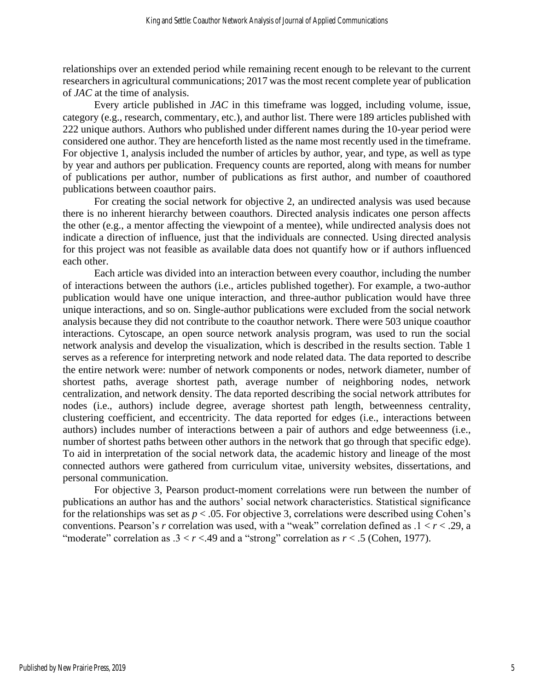relationships over an extended period while remaining recent enough to be relevant to the current researchers in agricultural communications; 2017 was the most recent complete year of publication of *JAC* at the time of analysis.

Every article published in *JAC* in this timeframe was logged, including volume, issue, category (e.g., research, commentary, etc.), and author list. There were 189 articles published with 222 unique authors. Authors who published under different names during the 10-year period were considered one author. They are henceforth listed as the name most recently used in the timeframe. For objective 1, analysis included the number of articles by author, year, and type, as well as type by year and authors per publication. Frequency counts are reported, along with means for number of publications per author, number of publications as first author, and number of coauthored publications between coauthor pairs.

For creating the social network for objective 2, an undirected analysis was used because there is no inherent hierarchy between coauthors. Directed analysis indicates one person affects the other (e.g., a mentor affecting the viewpoint of a mentee), while undirected analysis does not indicate a direction of influence, just that the individuals are connected. Using directed analysis for this project was not feasible as available data does not quantify how or if authors influenced each other.

Each article was divided into an interaction between every coauthor, including the number of interactions between the authors (i.e., articles published together). For example, a two-author publication would have one unique interaction, and three-author publication would have three unique interactions, and so on. Single-author publications were excluded from the social network analysis because they did not contribute to the coauthor network. There were 503 unique coauthor interactions. Cytoscape, an open source network analysis program, was used to run the social network analysis and develop the visualization, which is described in the results section. Table 1 serves as a reference for interpreting network and node related data. The data reported to describe the entire network were: number of network components or nodes, network diameter, number of shortest paths, average shortest path, average number of neighboring nodes, network centralization, and network density. The data reported describing the social network attributes for nodes (i.e., authors) include degree, average shortest path length, betweenness centrality, clustering coefficient, and eccentricity. The data reported for edges (i.e., interactions between authors) includes number of interactions between a pair of authors and edge betweenness (i.e., number of shortest paths between other authors in the network that go through that specific edge). To aid in interpretation of the social network data, the academic history and lineage of the most connected authors were gathered from curriculum vitae, university websites, dissertations, and personal communication.

For objective 3, Pearson product-moment correlations were run between the number of publications an author has and the authors' social network characteristics. Statistical significance for the relationships was set as  $p < .05$ . For objective 3, correlations were described using Cohen's conventions. Pearson's *r* correlation was used, with a "weak" correlation defined as .1 < *r* < .29, a "moderate" correlation as  $.3 < r < .49$  and a "strong" correlation as  $r < .5$  (Cohen, 1977).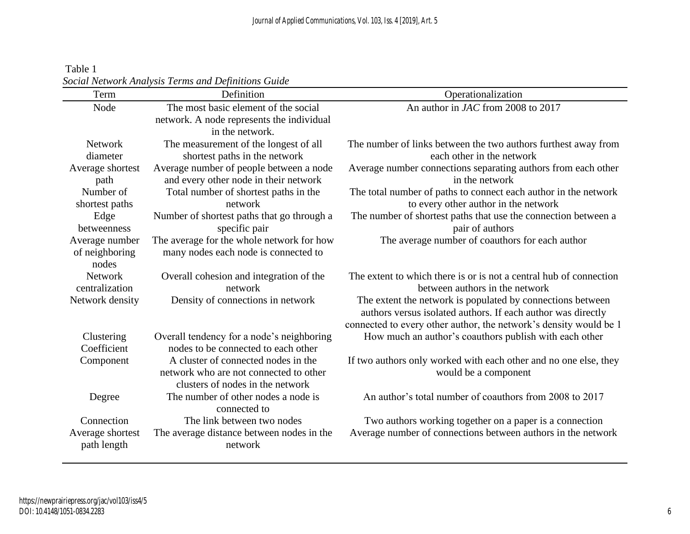Table 1 *Social Network Analysis Terms and Definitions Guide*

| Term             | Definition                                          | Operationalization                                                 |
|------------------|-----------------------------------------------------|--------------------------------------------------------------------|
| Node             | The most basic element of the social                | An author in JAC from 2008 to 2017                                 |
|                  | network. A node represents the individual           |                                                                    |
|                  | in the network.                                     |                                                                    |
| Network          | The measurement of the longest of all               | The number of links between the two authors furthest away from     |
| diameter         | shortest paths in the network                       | each other in the network                                          |
| Average shortest | Average number of people between a node             | Average number connections separating authors from each other      |
| path             | and every other node in their network               | in the network                                                     |
| Number of        | Total number of shortest paths in the               | The total number of paths to connect each author in the network    |
| shortest paths   | network                                             | to every other author in the network                               |
| Edge             | Number of shortest paths that go through a          | The number of shortest paths that use the connection between a     |
| betweenness      | specific pair                                       | pair of authors                                                    |
| Average number   | The average for the whole network for how           | The average number of coauthors for each author                    |
| of neighboring   | many nodes each node is connected to                |                                                                    |
| nodes            |                                                     |                                                                    |
| <b>Network</b>   | Overall cohesion and integration of the             | The extent to which there is or is not a central hub of connection |
| centralization   | network                                             | between authors in the network                                     |
| Network density  | Density of connections in network                   | The extent the network is populated by connections between         |
|                  |                                                     | authors versus isolated authors. If each author was directly       |
|                  |                                                     | connected to every other author, the network's density would be 1  |
| Clustering       | Overall tendency for a node's neighboring           | How much an author's coauthors publish with each other             |
| Coefficient      | nodes to be connected to each other                 |                                                                    |
| Component        | A cluster of connected nodes in the                 | If two authors only worked with each other and no one else, they   |
|                  | network who are not connected to other              | would be a component                                               |
|                  | clusters of nodes in the network                    |                                                                    |
| Degree           | The number of other nodes a node is<br>connected to | An author's total number of coauthors from 2008 to 2017            |
| Connection       | The link between two nodes                          | Two authors working together on a paper is a connection            |
| Average shortest | The average distance between nodes in the           | Average number of connections between authors in the network       |
| path length      | network                                             |                                                                    |
|                  |                                                     |                                                                    |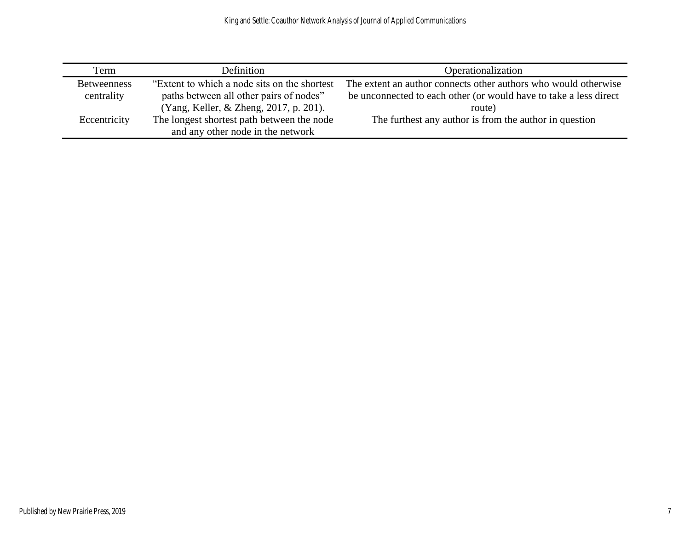| Term               | Definition                                    | Operationalization                                                |
|--------------------|-----------------------------------------------|-------------------------------------------------------------------|
| <b>Betweenness</b> | "Extent to which a node sits on the shortest" | The extent an author connects other authors who would otherwise   |
| centrality         | paths between all other pairs of nodes"       | be unconnected to each other (or would have to take a less direct |
|                    | (Yang, Keller, & Zheng, 2017, p. 201).        | route)                                                            |
| Eccentricity       | The longest shortest path between the node    | The furthest any author is from the author in question            |
|                    | and any other node in the network             |                                                                   |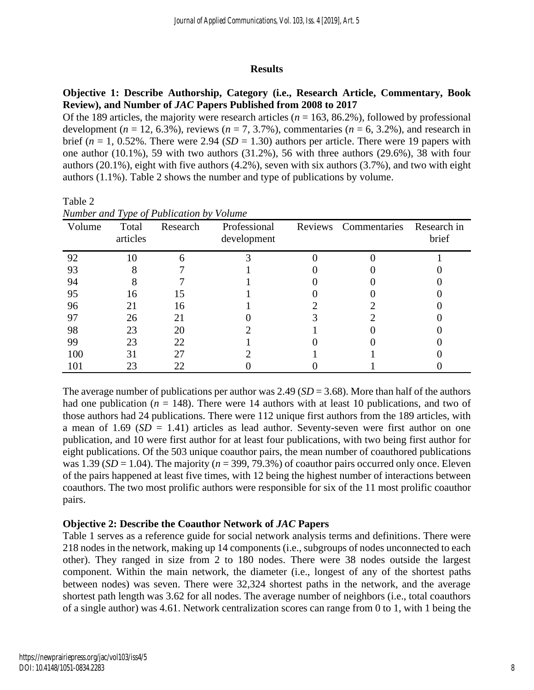#### **Results**

# **Objective 1: Describe Authorship, Category (i.e., Research Article, Commentary, Book Review), and Number of** *JAC* **Papers Published from 2008 to 2017**

Of the 189 articles, the majority were research articles ( $n = 163, 86.2$ %), followed by professional development ( $n = 12, 6.3\%$ ), reviews ( $n = 7, 3.7\%$ ), commentaries ( $n = 6, 3.2\%$ ), and research in brief ( $n = 1$ , 0.52%. There were 2.94 ( $SD = 1.30$ ) authors per article. There were 19 papers with one author (10.1%), 59 with two authors (31.2%), 56 with three authors (29.6%), 38 with four authors (20.1%), eight with five authors (4.2%), seven with six authors (3.7%), and two with eight authors (1.1%). Table 2 shows the number and type of publications by volume.

|        | Number and Type of Publication by Volume |          |                             |  |                      |                      |  |  |
|--------|------------------------------------------|----------|-----------------------------|--|----------------------|----------------------|--|--|
| Volume | Total<br>articles                        | Research | Professional<br>development |  | Reviews Commentaries | Research in<br>brief |  |  |
| 92     | 10                                       |          |                             |  |                      |                      |  |  |
| 93     |                                          |          |                             |  |                      |                      |  |  |
| 94     |                                          |          |                             |  |                      |                      |  |  |
| 95     | 16                                       | 15       |                             |  |                      |                      |  |  |
| 96     | 21                                       | 16       |                             |  |                      |                      |  |  |
| 97     | 26                                       | 21       |                             |  |                      |                      |  |  |
| 98     | 23                                       | 20       |                             |  |                      |                      |  |  |
| 99     | 23                                       | 22       |                             |  |                      |                      |  |  |
| 100    | 31                                       | 27       |                             |  |                      |                      |  |  |
| 101    | 23                                       | 22       |                             |  |                      |                      |  |  |

*Number and Type of Publication by Volume*

Table 2

The average number of publications per author was 2.49 (*SD* = 3.68). More than half of the authors had one publication ( $n = 148$ ). There were 14 authors with at least 10 publications, and two of those authors had 24 publications. There were 112 unique first authors from the 189 articles, with a mean of  $1.69$  ( $SD = 1.41$ ) articles as lead author. Seventy-seven were first author on one publication, and 10 were first author for at least four publications, with two being first author for eight publications. Of the 503 unique coauthor pairs, the mean number of coauthored publications was 1.39 ( $SD = 1.04$ ). The majority ( $n = 399, 79.3\%$ ) of coauthor pairs occurred only once. Eleven of the pairs happened at least five times, with 12 being the highest number of interactions between coauthors. The two most prolific authors were responsible for six of the 11 most prolific coauthor pairs.

## **Objective 2: Describe the Coauthor Network of** *JAC* **Papers**

Table 1 serves as a reference guide for social network analysis terms and definitions. There were 218 nodes in the network, making up 14 components (i.e., subgroups of nodes unconnected to each other). They ranged in size from 2 to 180 nodes. There were 38 nodes outside the largest component. Within the main network, the diameter (i.e., longest of any of the shortest paths between nodes) was seven. There were 32,324 shortest paths in the network, and the average shortest path length was 3.62 for all nodes. The average number of neighbors (i.e., total coauthors of a single author) was 4.61. Network centralization scores can range from 0 to 1, with 1 being the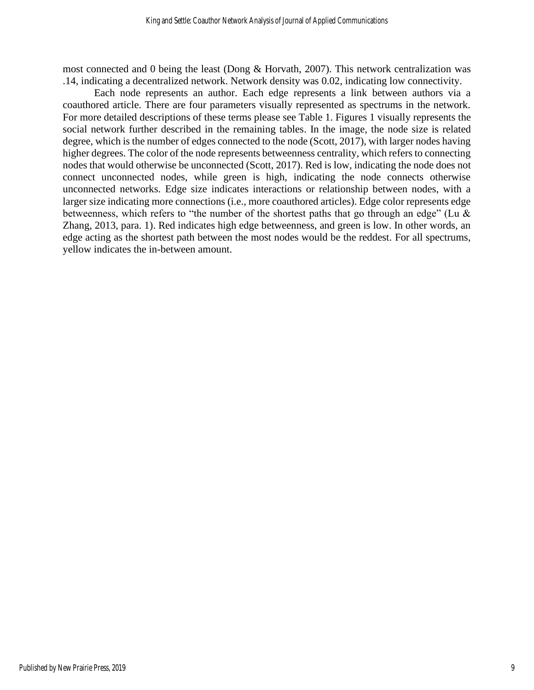most connected and 0 being the least (Dong & Horvath, 2007). This network centralization was .14, indicating a decentralized network. Network density was 0.02, indicating low connectivity.

Each node represents an author. Each edge represents a link between authors via a coauthored article. There are four parameters visually represented as spectrums in the network. For more detailed descriptions of these terms please see Table 1. Figures 1 visually represents the social network further described in the remaining tables. In the image, the node size is related degree, which is the number of edges connected to the node (Scott, 2017), with larger nodes having higher degrees. The color of the node represents betweenness centrality, which refers to connecting nodes that would otherwise be unconnected (Scott, 2017). Red is low, indicating the node does not connect unconnected nodes, while green is high, indicating the node connects otherwise unconnected networks. Edge size indicates interactions or relationship between nodes, with a larger size indicating more connections (i.e., more coauthored articles). Edge color represents edge betweenness, which refers to "the number of the shortest paths that go through an edge" (Lu & Zhang, 2013, para. 1). Red indicates high edge betweenness, and green is low. In other words, an edge acting as the shortest path between the most nodes would be the reddest. For all spectrums, yellow indicates the in-between amount.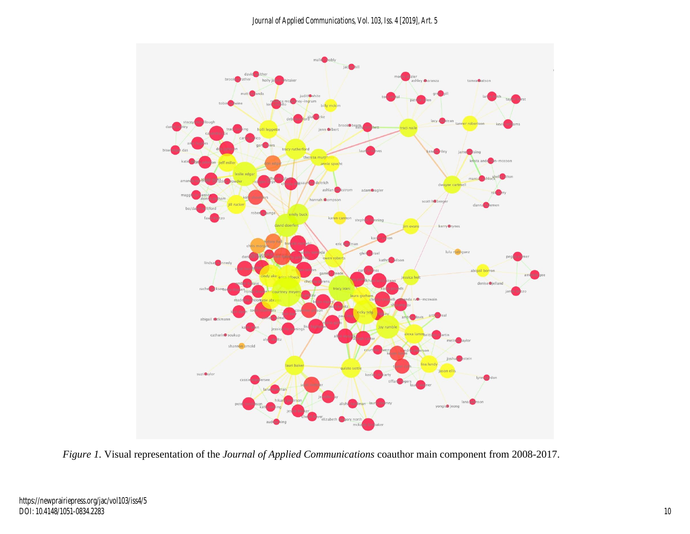

*Figure 1.* Visual representation of the *Journal of Applied Communications* coauthor main component from 2008-2017.

https://newprairiepress.org/jac/vol103/iss4/5 DOI: 10.4148/1051-0834.2283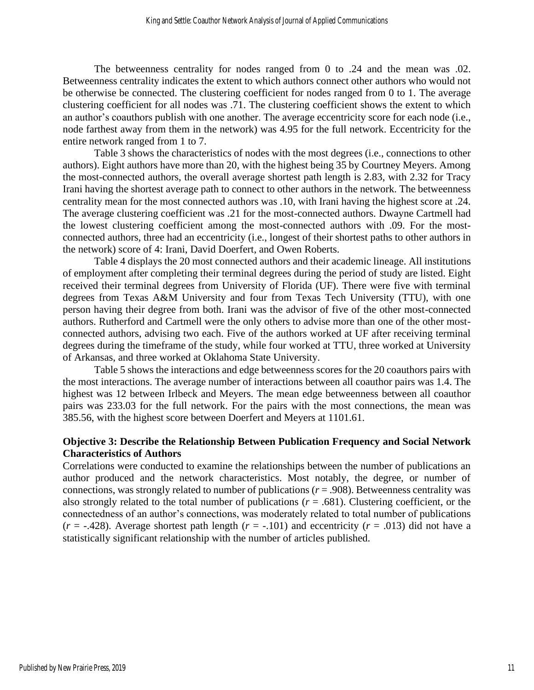The betweenness centrality for nodes ranged from 0 to .24 and the mean was .02. Betweenness centrality indicates the extent to which authors connect other authors who would not be otherwise be connected. The clustering coefficient for nodes ranged from 0 to 1. The average clustering coefficient for all nodes was .71. The clustering coefficient shows the extent to which an author's coauthors publish with one another. The average eccentricity score for each node (i.e., node farthest away from them in the network) was 4.95 for the full network. Eccentricity for the entire network ranged from 1 to 7.

Table 3 shows the characteristics of nodes with the most degrees (i.e., connections to other authors). Eight authors have more than 20, with the highest being 35 by Courtney Meyers. Among the most-connected authors, the overall average shortest path length is 2.83, with 2.32 for Tracy Irani having the shortest average path to connect to other authors in the network. The betweenness centrality mean for the most connected authors was .10, with Irani having the highest score at .24. The average clustering coefficient was .21 for the most-connected authors. Dwayne Cartmell had the lowest clustering coefficient among the most-connected authors with .09. For the mostconnected authors, three had an eccentricity (i.e., longest of their shortest paths to other authors in the network) score of 4: Irani, David Doerfert, and Owen Roberts.

Table 4 displays the 20 most connected authors and their academic lineage. All institutions of employment after completing their terminal degrees during the period of study are listed. Eight received their terminal degrees from University of Florida (UF). There were five with terminal degrees from Texas A&M University and four from Texas Tech University (TTU), with one person having their degree from both. Irani was the advisor of five of the other most-connected authors. Rutherford and Cartmell were the only others to advise more than one of the other mostconnected authors, advising two each. Five of the authors worked at UF after receiving terminal degrees during the timeframe of the study, while four worked at TTU, three worked at University of Arkansas, and three worked at Oklahoma State University.

Table 5 shows the interactions and edge betweenness scores for the 20 coauthors pairs with the most interactions. The average number of interactions between all coauthor pairs was 1.4. The highest was 12 between Irlbeck and Meyers. The mean edge betweenness between all coauthor pairs was 233.03 for the full network. For the pairs with the most connections, the mean was 385.56, with the highest score between Doerfert and Meyers at 1101.61.

# **Objective 3: Describe the Relationship Between Publication Frequency and Social Network Characteristics of Authors**

Correlations were conducted to examine the relationships between the number of publications an author produced and the network characteristics. Most notably, the degree, or number of connections, was strongly related to number of publications ( $r = .908$ ). Betweenness centrality was also strongly related to the total number of publications  $(r = .681)$ . Clustering coefficient, or the connectedness of an author's connections, was moderately related to total number of publications  $(r = -.428)$ . Average shortest path length  $(r = -.101)$  and eccentricity  $(r = .013)$  did not have a statistically significant relationship with the number of articles published.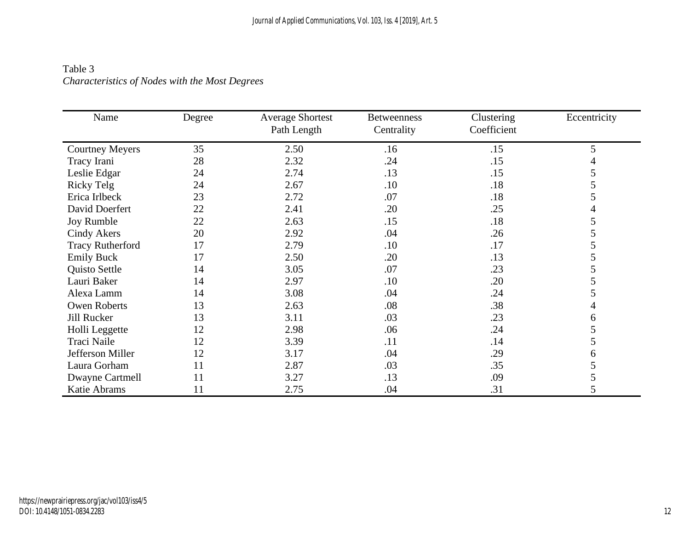# Table 3 *Characteristics of Nodes with the Most Degrees*

| Name                    | Degree | <b>Average Shortest</b><br>Path Length | <b>Betweenness</b><br>Centrality | Clustering<br>Coefficient | Eccentricity |
|-------------------------|--------|----------------------------------------|----------------------------------|---------------------------|--------------|
| <b>Courtney Meyers</b>  | 35     | 2.50                                   | .16                              | .15                       | 5            |
| Tracy Irani             | 28     | 2.32                                   | .24                              | .15                       |              |
| Leslie Edgar            | 24     | 2.74                                   | .13                              | .15                       | 5            |
| Ricky Telg              | 24     | 2.67                                   | .10                              | .18                       | 5            |
| Erica Irlbeck           | 23     | 2.72                                   | .07                              | .18                       | C            |
| David Doerfert          | 22     | 2.41                                   | .20                              | .25                       |              |
| Joy Rumble              | 22     | 2.63                                   | .15                              | .18                       | 5            |
| <b>Cindy Akers</b>      | 20     | 2.92                                   | .04                              | .26                       |              |
| <b>Tracy Rutherford</b> | 17     | 2.79                                   | .10                              | .17                       | C            |
| <b>Emily Buck</b>       | 17     | 2.50                                   | .20                              | .13                       | C.           |
| Quisto Settle           | 14     | 3.05                                   | .07                              | .23                       | C            |
| Lauri Baker             | 14     | 2.97                                   | .10                              | .20                       | 5            |
| Alexa Lamm              | 14     | 3.08                                   | .04                              | .24                       | 5            |
| <b>Owen Roberts</b>     | 13     | 2.63                                   | .08                              | .38                       |              |
| Jill Rucker             | 13     | 3.11                                   | .03                              | .23                       | 6            |
| Holli Leggette          | 12     | 2.98                                   | .06                              | .24                       | 5            |
| Traci Naile             | 12     | 3.39                                   | .11                              | .14                       | 5            |
| Jefferson Miller        | 12     | 3.17                                   | .04                              | .29                       | 6            |
| Laura Gorham            | 11     | 2.87                                   | .03                              | .35                       | C            |
| Dwayne Cartmell         | 11     | 3.27                                   | .13                              | .09                       | 5            |
| Katie Abrams            | 11     | 2.75                                   | .04                              | .31                       | 5            |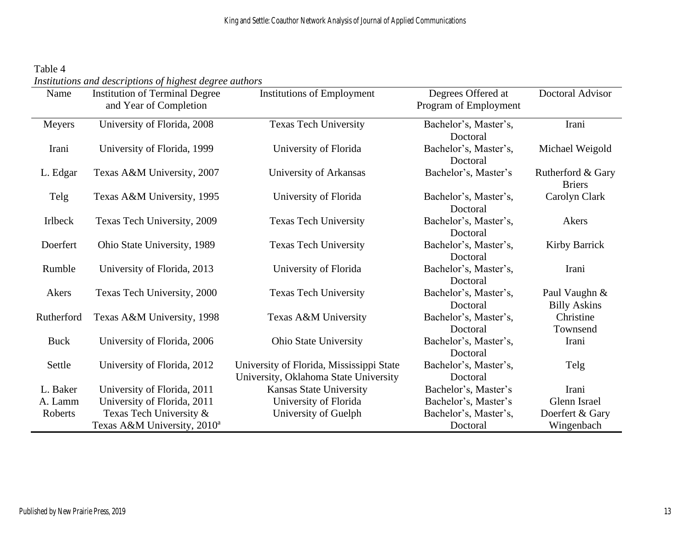Table 4 *Institutions and descriptions of highest degree authors*

| Name           | <b>Institution of Terminal Degree</b><br>and Year of Completion | <b>Institutions of Employment</b>                                                 | Degrees Offered at<br>Program of Employment | Doctoral Advisor                     |
|----------------|-----------------------------------------------------------------|-----------------------------------------------------------------------------------|---------------------------------------------|--------------------------------------|
| Meyers         | University of Florida, 2008                                     | <b>Texas Tech University</b>                                                      | Bachelor's, Master's,<br>Doctoral           | Irani                                |
| Irani          | University of Florida, 1999                                     | University of Florida                                                             | Bachelor's, Master's,<br>Doctoral           | Michael Weigold                      |
| L. Edgar       | Texas A&M University, 2007                                      | University of Arkansas                                                            | Bachelor's, Master's                        | Rutherford & Gary<br><b>Briers</b>   |
| Telg           | Texas A&M University, 1995                                      | University of Florida                                                             | Bachelor's, Master's,<br>Doctoral           | Carolyn Clark                        |
| <b>Irlbeck</b> | Texas Tech University, 2009                                     | <b>Texas Tech University</b>                                                      | Bachelor's, Master's,<br>Doctoral           | Akers                                |
| Doerfert       | Ohio State University, 1989                                     | <b>Texas Tech University</b>                                                      | Bachelor's, Master's,<br>Doctoral           | <b>Kirby Barrick</b>                 |
| Rumble         | University of Florida, 2013                                     | University of Florida                                                             | Bachelor's, Master's,<br>Doctoral           | Irani                                |
| Akers          | Texas Tech University, 2000                                     | <b>Texas Tech University</b>                                                      | Bachelor's, Master's,<br>Doctoral           | Paul Vaughn &<br><b>Billy Askins</b> |
| Rutherford     | Texas A&M University, 1998                                      | Texas A&M University                                                              | Bachelor's, Master's,<br>Doctoral           | Christine<br>Townsend                |
| <b>Buck</b>    | University of Florida, 2006                                     | <b>Ohio State University</b>                                                      | Bachelor's, Master's,<br>Doctoral           | Irani                                |
| Settle         | University of Florida, 2012                                     | University of Florida, Mississippi State<br>University, Oklahoma State University | Bachelor's, Master's,<br>Doctoral           | Telg                                 |
| L. Baker       | University of Florida, 2011                                     | Kansas State University                                                           | Bachelor's, Master's                        | Irani                                |
| A. Lamm        | University of Florida, 2011                                     | University of Florida                                                             | Bachelor's, Master's                        | Glenn Israel                         |
| Roberts        | Texas Tech University &                                         | University of Guelph                                                              | Bachelor's, Master's,                       | Doerfert & Gary                      |
|                | Texas A&M University, 2010 <sup>a</sup>                         |                                                                                   | Doctoral                                    | Wingenbach                           |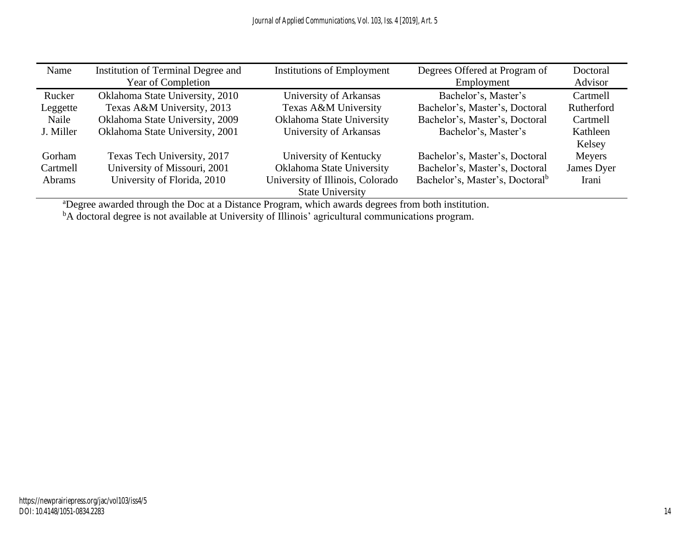| Name          | Institution of Terminal Degree and<br>Year of Completion | <b>Institutions of Employment</b> | Degrees Offered at Program of<br>Employment | Doctoral<br>Advisor |
|---------------|----------------------------------------------------------|-----------------------------------|---------------------------------------------|---------------------|
| Rucker        | Oklahoma State University, 2010                          | University of Arkansas            | Bachelor's, Master's                        | Cartmell            |
| Leggette      | Texas A&M University, 2013                               | Texas A&M University              | Bachelor's, Master's, Doctoral              | Rutherford          |
| Naile         | Oklahoma State University, 2009                          | Oklahoma State University         | Bachelor's, Master's, Doctoral              | Cartmell            |
| J. Miller     | Oklahoma State University, 2001                          | University of Arkansas            | Bachelor's, Master's                        | Kathleen            |
|               |                                                          |                                   |                                             | Kelsey              |
| Gorham        | Texas Tech University, 2017                              | University of Kentucky            | Bachelor's, Master's, Doctoral              | Meyers              |
| Cartmell      | University of Missouri, 2001                             | Oklahoma State University         | Bachelor's, Master's, Doctoral              | James Dyer          |
| <b>Abrams</b> | University of Florida, 2010                              | University of Illinois, Colorado  | Bachelor's, Master's, Doctoral <sup>b</sup> | Irani               |
|               |                                                          | <b>State University</b>           |                                             |                     |

<sup>a</sup>Degree awarded through the Doc at a Distance Program, which awards degrees from both institution.

<sup>b</sup>A doctoral degree is not available at University of Illinois' agricultural communications program.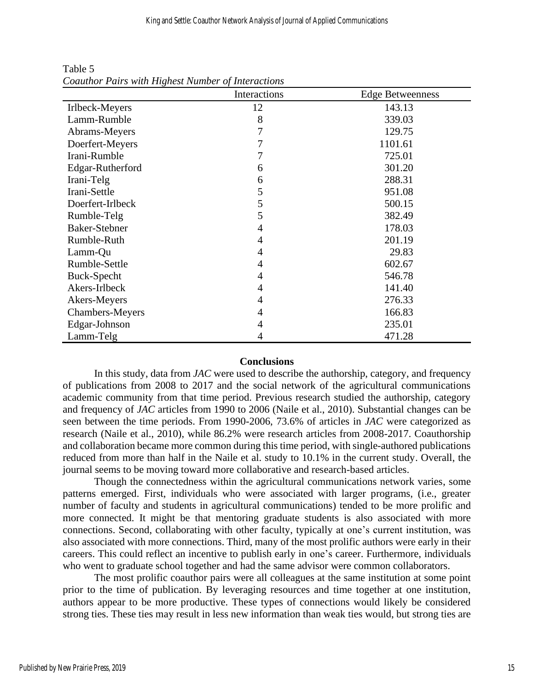| o                      | Interactions | <b>Edge Betweenness</b> |
|------------------------|--------------|-------------------------|
| Irlbeck-Meyers         | 12           | 143.13                  |
| Lamm-Rumble            | 8            | 339.03                  |
| Abrams-Meyers          | 7            | 129.75                  |
| Doerfert-Meyers        | 7            | 1101.61                 |
| Irani-Rumble           | 7            | 725.01                  |
| Edgar-Rutherford       | 6            | 301.20                  |
| Irani-Telg             | 6            | 288.31                  |
| Irani-Settle           | 5            | 951.08                  |
| Doerfert-Irlbeck       | 5            | 500.15                  |
| Rumble-Telg            | 5            | 382.49                  |
| Baker-Stebner          | 4            | 178.03                  |
| Rumble-Ruth            | 4            | 201.19                  |
| Lamm-Qu                | 4            | 29.83                   |
| Rumble-Settle          | 4            | 602.67                  |
| <b>Buck-Specht</b>     | 4            | 546.78                  |
| Akers-Irlbeck          | 4            | 141.40                  |
| Akers-Meyers           | 4            | 276.33                  |
| <b>Chambers-Meyers</b> | 4            | 166.83                  |
| Edgar-Johnson          | 4            | 235.01                  |
| Lamm-Telg              | 4            | 471.28                  |

Table 5 *Coauthor Pairs with Highest Number of Interactions*

#### **Conclusions**

In this study, data from *JAC* were used to describe the authorship, category, and frequency of publications from 2008 to 2017 and the social network of the agricultural communications academic community from that time period. Previous research studied the authorship, category and frequency of *JAC* articles from 1990 to 2006 (Naile et al., 2010). Substantial changes can be seen between the time periods. From 1990-2006, 73.6% of articles in *JAC* were categorized as research (Naile et al., 2010), while 86.2% were research articles from 2008-2017. Coauthorship and collaboration became more common during this time period, with single-authored publications reduced from more than half in the Naile et al. study to 10.1% in the current study. Overall, the journal seems to be moving toward more collaborative and research-based articles.

Though the connectedness within the agricultural communications network varies, some patterns emerged. First, individuals who were associated with larger programs, (i.e., greater number of faculty and students in agricultural communications) tended to be more prolific and more connected. It might be that mentoring graduate students is also associated with more connections. Second, collaborating with other faculty, typically at one's current institution, was also associated with more connections. Third, many of the most prolific authors were early in their careers. This could reflect an incentive to publish early in one's career. Furthermore, individuals who went to graduate school together and had the same advisor were common collaborators.

The most prolific coauthor pairs were all colleagues at the same institution at some point prior to the time of publication. By leveraging resources and time together at one institution, authors appear to be more productive. These types of connections would likely be considered strong ties. These ties may result in less new information than weak ties would, but strong ties are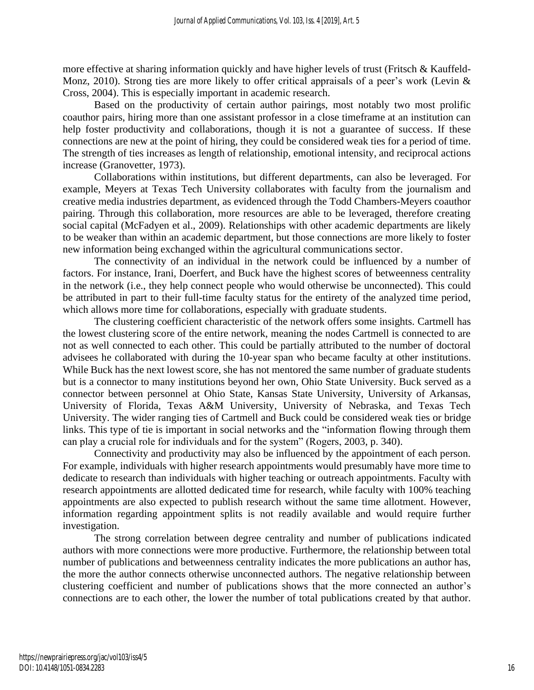more effective at sharing information quickly and have higher levels of trust (Fritsch & Kauffeld-Monz, 2010). Strong ties are more likely to offer critical appraisals of a peer's work (Levin & Cross, 2004). This is especially important in academic research.

Based on the productivity of certain author pairings, most notably two most prolific coauthor pairs, hiring more than one assistant professor in a close timeframe at an institution can help foster productivity and collaborations, though it is not a guarantee of success. If these connections are new at the point of hiring, they could be considered weak ties for a period of time. The strength of ties increases as length of relationship, emotional intensity, and reciprocal actions increase (Granovetter, 1973).

Collaborations within institutions, but different departments, can also be leveraged. For example, Meyers at Texas Tech University collaborates with faculty from the journalism and creative media industries department, as evidenced through the Todd Chambers-Meyers coauthor pairing. Through this collaboration, more resources are able to be leveraged, therefore creating social capital (McFadyen et al., 2009). Relationships with other academic departments are likely to be weaker than within an academic department, but those connections are more likely to foster new information being exchanged within the agricultural communications sector.

The connectivity of an individual in the network could be influenced by a number of factors. For instance, Irani, Doerfert, and Buck have the highest scores of betweenness centrality in the network (i.e., they help connect people who would otherwise be unconnected). This could be attributed in part to their full-time faculty status for the entirety of the analyzed time period, which allows more time for collaborations, especially with graduate students.

The clustering coefficient characteristic of the network offers some insights. Cartmell has the lowest clustering score of the entire network, meaning the nodes Cartmell is connected to are not as well connected to each other. This could be partially attributed to the number of doctoral advisees he collaborated with during the 10-year span who became faculty at other institutions. While Buck has the next lowest score, she has not mentored the same number of graduate students but is a connector to many institutions beyond her own, Ohio State University. Buck served as a connector between personnel at Ohio State, Kansas State University, University of Arkansas, University of Florida, Texas A&M University, University of Nebraska, and Texas Tech University. The wider ranging ties of Cartmell and Buck could be considered weak ties or bridge links. This type of tie is important in social networks and the "information flowing through them can play a crucial role for individuals and for the system" (Rogers, 2003, p. 340).

Connectivity and productivity may also be influenced by the appointment of each person. For example, individuals with higher research appointments would presumably have more time to dedicate to research than individuals with higher teaching or outreach appointments. Faculty with research appointments are allotted dedicated time for research, while faculty with 100% teaching appointments are also expected to publish research without the same time allotment. However, information regarding appointment splits is not readily available and would require further investigation.

The strong correlation between degree centrality and number of publications indicated authors with more connections were more productive. Furthermore, the relationship between total number of publications and betweenness centrality indicates the more publications an author has, the more the author connects otherwise unconnected authors. The negative relationship between clustering coefficient and number of publications shows that the more connected an author's connections are to each other, the lower the number of total publications created by that author.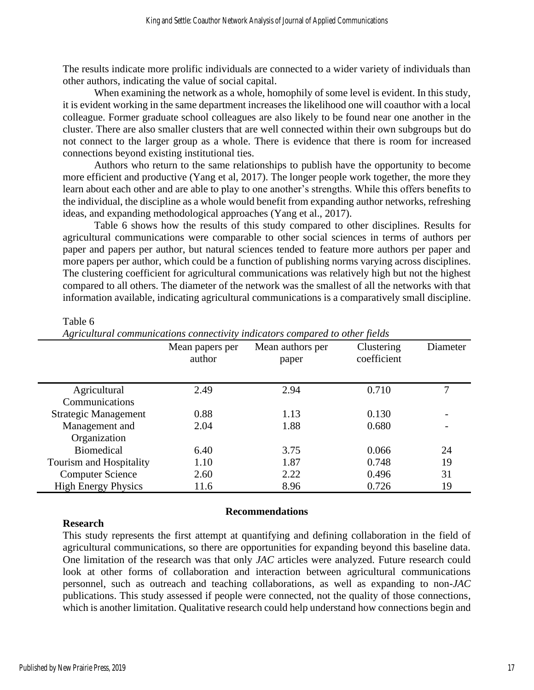The results indicate more prolific individuals are connected to a wider variety of individuals than other authors, indicating the value of social capital.

When examining the network as a whole, homophily of some level is evident. In this study, it is evident working in the same department increases the likelihood one will coauthor with a local colleague. Former graduate school colleagues are also likely to be found near one another in the cluster. There are also smaller clusters that are well connected within their own subgroups but do not connect to the larger group as a whole. There is evidence that there is room for increased connections beyond existing institutional ties.

Authors who return to the same relationships to publish have the opportunity to become more efficient and productive (Yang et al, 2017). The longer people work together, the more they learn about each other and are able to play to one another's strengths. While this offers benefits to the individual, the discipline as a whole would benefit from expanding author networks, refreshing ideas, and expanding methodological approaches (Yang et al., 2017).

Table 6 shows how the results of this study compared to other disciplines. Results for agricultural communications were comparable to other social sciences in terms of authors per paper and papers per author, but natural sciences tended to feature more authors per paper and more papers per author, which could be a function of publishing norms varying across disciplines. The clustering coefficient for agricultural communications was relatively high but not the highest compared to all others. The diameter of the network was the smallest of all the networks with that information available, indicating agricultural communications is a comparatively small discipline.

#### Table 6

|                             | Mean papers per<br>author | Mean authors per<br>paper | Clustering<br>coefficient | Diameter |
|-----------------------------|---------------------------|---------------------------|---------------------------|----------|
| Agricultural                | 2.49                      | 2.94                      | 0.710                     | 7        |
| Communications              |                           |                           |                           |          |
| <b>Strategic Management</b> | 0.88                      | 1.13                      | 0.130                     |          |
| Management and              | 2.04                      | 1.88                      | 0.680                     |          |
| Organization                |                           |                           |                           |          |
| <b>Biomedical</b>           | 6.40                      | 3.75                      | 0.066                     | 24       |
| Tourism and Hospitality     | 1.10                      | 1.87                      | 0.748                     | 19       |
| <b>Computer Science</b>     | 2.60                      | 2.22                      | 0.496                     | 31       |
| <b>High Energy Physics</b>  | 11.6                      | 8.96                      | 0.726                     | 19       |

*Agricultural communications connectivity indicators compared to other fields*

## **Research**

#### **Recommendations**

This study represents the first attempt at quantifying and defining collaboration in the field of agricultural communications, so there are opportunities for expanding beyond this baseline data. One limitation of the research was that only *JAC* articles were analyzed. Future research could look at other forms of collaboration and interaction between agricultural communications personnel, such as outreach and teaching collaborations, as well as expanding to non-*JAC* publications. This study assessed if people were connected, not the quality of those connections, which is another limitation. Qualitative research could help understand how connections begin and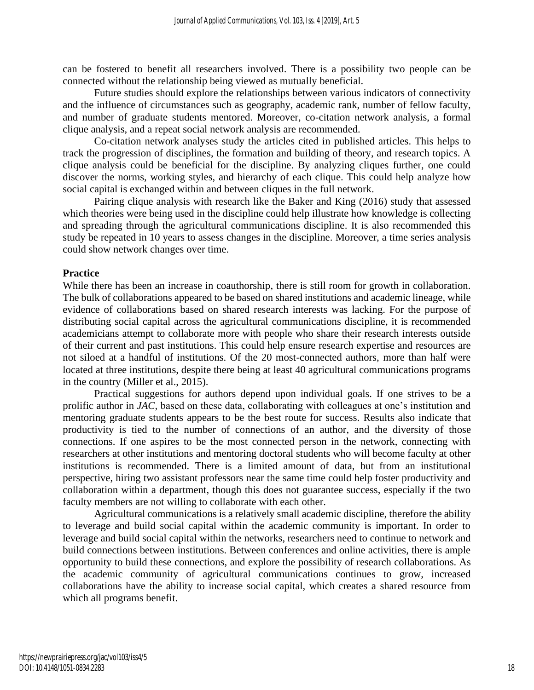can be fostered to benefit all researchers involved. There is a possibility two people can be connected without the relationship being viewed as mutually beneficial.

Future studies should explore the relationships between various indicators of connectivity and the influence of circumstances such as geography, academic rank, number of fellow faculty, and number of graduate students mentored. Moreover, co-citation network analysis, a formal clique analysis, and a repeat social network analysis are recommended.

Co-citation network analyses study the articles cited in published articles. This helps to track the progression of disciplines, the formation and building of theory, and research topics. A clique analysis could be beneficial for the discipline. By analyzing cliques further, one could discover the norms, working styles, and hierarchy of each clique. This could help analyze how social capital is exchanged within and between cliques in the full network.

Pairing clique analysis with research like the Baker and King (2016) study that assessed which theories were being used in the discipline could help illustrate how knowledge is collecting and spreading through the agricultural communications discipline. It is also recommended this study be repeated in 10 years to assess changes in the discipline. Moreover, a time series analysis could show network changes over time.

# **Practice**

While there has been an increase in coauthorship, there is still room for growth in collaboration. The bulk of collaborations appeared to be based on shared institutions and academic lineage, while evidence of collaborations based on shared research interests was lacking. For the purpose of distributing social capital across the agricultural communications discipline, it is recommended academicians attempt to collaborate more with people who share their research interests outside of their current and past institutions. This could help ensure research expertise and resources are not siloed at a handful of institutions. Of the 20 most-connected authors, more than half were located at three institutions, despite there being at least 40 agricultural communications programs in the country (Miller et al., 2015).

Practical suggestions for authors depend upon individual goals. If one strives to be a prolific author in *JAC,* based on these data, collaborating with colleagues at one's institution and mentoring graduate students appears to be the best route for success. Results also indicate that productivity is tied to the number of connections of an author, and the diversity of those connections. If one aspires to be the most connected person in the network, connecting with researchers at other institutions and mentoring doctoral students who will become faculty at other institutions is recommended. There is a limited amount of data, but from an institutional perspective, hiring two assistant professors near the same time could help foster productivity and collaboration within a department, though this does not guarantee success, especially if the two faculty members are not willing to collaborate with each other.

Agricultural communications is a relatively small academic discipline, therefore the ability to leverage and build social capital within the academic community is important. In order to leverage and build social capital within the networks, researchers need to continue to network and build connections between institutions. Between conferences and online activities, there is ample opportunity to build these connections, and explore the possibility of research collaborations. As the academic community of agricultural communications continues to grow, increased collaborations have the ability to increase social capital, which creates a shared resource from which all programs benefit.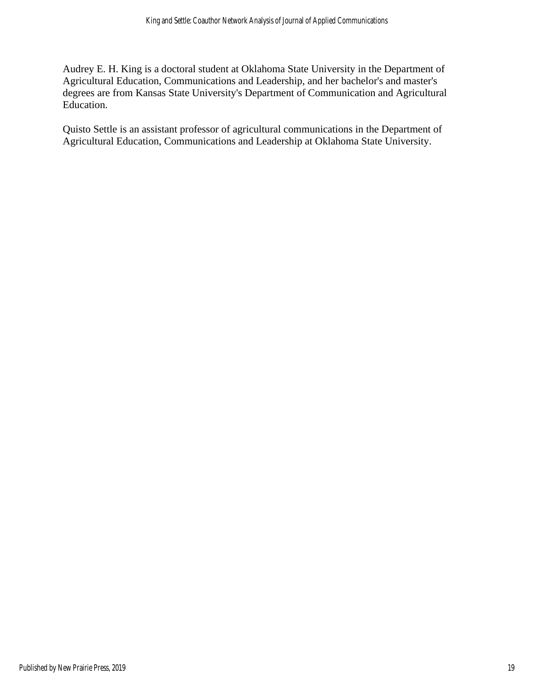Audrey E. H. King is a doctoral student at Oklahoma State University in the Department of Agricultural Education, Communications and Leadership, and her bachelor's and master's degrees are from Kansas State University's Department of Communication and Agricultural Education.

Quisto Settle is an assistant professor of agricultural communications in the Department of Agricultural Education, Communications and Leadership at Oklahoma State University.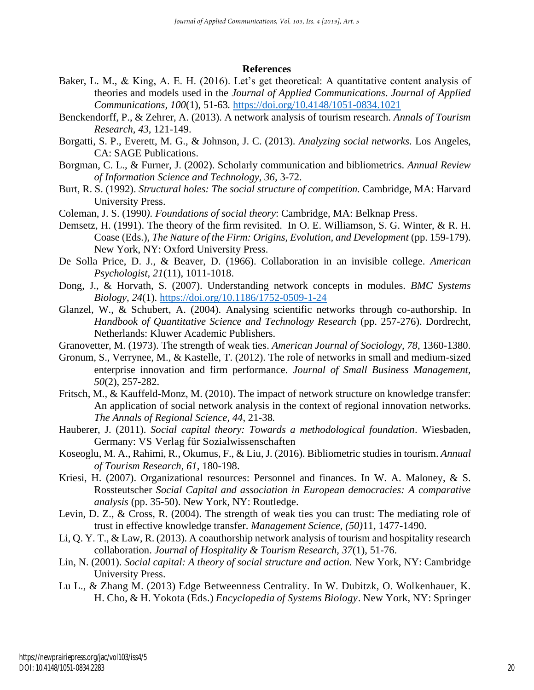#### **References**

- Baker, L. M., & King, A. E. H. (2016). Let's get theoretical: A quantitative content analysis of theories and models used in the *Journal of Applied Communications*. *Journal of Applied Communications, 100*(1), 51-63*.* <https://doi.org/10.4148/1051-0834.1021>
- Benckendorff, P., & Zehrer, A. (2013). A network analysis of tourism research. *Annals of Tourism Research, 43,* 121-149.
- Borgatti, S. P., Everett, M. G., & Johnson, J. C. (2013). *Analyzing social networks.* Los Angeles, CA: SAGE Publications.
- Borgman, C. L., & Furner, J. (2002). Scholarly communication and bibliometrics. *Annual Review of Information Science and Technology, 36,* 3-72.
- Burt, R. S. (1992). *Structural holes: The social structure of competition.* Cambridge, MA: Harvard University Press.
- Coleman, J. S. (1990*). Foundations of social theory*: Cambridge, MA: Belknap Press.
- Demsetz, H. (1991). The theory of the firm revisited. In O. E. Williamson, S. G. Winter, & R. H. Coase (Eds.), *The Nature of the Firm: Origins, Evolution, and Development* (pp. 159-179). New York, NY: Oxford University Press.
- De Solla Price, D. J., & Beaver, D. (1966). Collaboration in an invisible college. *American Psychologist, 21*(11), 1011-1018.
- Dong, J., & Horvath, S. (2007). Understanding network concepts in modules. *BMC Systems Biology, 24*(1).<https://doi.org/10.1186/1752-0509-1-24>
- Glanzel, W., & Schubert, A. (2004). Analysing scientific networks through co-authorship. In *Handbook of Quantitative Science and Technology Research* (pp. 257-276). Dordrecht, Netherlands: Kluwer Academic Publishers.
- Granovetter, M. (1973). The strength of weak ties. *American Journal of Sociology, 78*, 1360-1380.
- Gronum, S., Verrynee, M., & Kastelle, T. (2012). The role of networks in small and medium-sized enterprise innovation and firm performance. *Journal of Small Business Management, 50*(2), 257-282.
- Fritsch, M., & Kauffeld-Monz, M. (2010). The impact of network structure on knowledge transfer: An application of social network analysis in the context of regional innovation networks. *The Annals of Regional Science, 44*, 21-38*.*
- Hauberer, J. (2011). *Social capital theory: Towards a methodological foundation*. Wiesbaden, Germany: VS Verlag für Sozialwissenschaften
- Koseoglu, M. A., Rahimi, R., Okumus, F., & Liu, J. (2016). Bibliometric studies in tourism. *Annual of Tourism Research, 61,* 180-198.
- Kriesi, H. (2007). Organizational resources: Personnel and finances. In W. A. Maloney, & S. Rossteutscher *Social Capital and association in European democracies: A comparative analysis* (pp. 35-50). New York, NY: Routledge.
- Levin, D. Z., & Cross, R. (2004). The strength of weak ties you can trust: The mediating role of trust in effective knowledge transfer. *Management Science, (50)*11*,* 1477-1490.
- Li, Q. Y. T., & Law, R. (2013). A coauthorship network analysis of tourism and hospitality research collaboration. *Journal of Hospitality & Tourism Research, 37*(1), 51-76.
- Lin, N. (2001). *Social capital: A theory of social structure and action.* New York, NY: Cambridge University Press.
- Lu L., & Zhang M. (2013) Edge Betweenness Centrality. In W. Dubitzk, O. Wolkenhauer, K. H. Cho, & H. Yokota (Eds.) *Encyclopedia of Systems Biology*. New York, NY: Springer